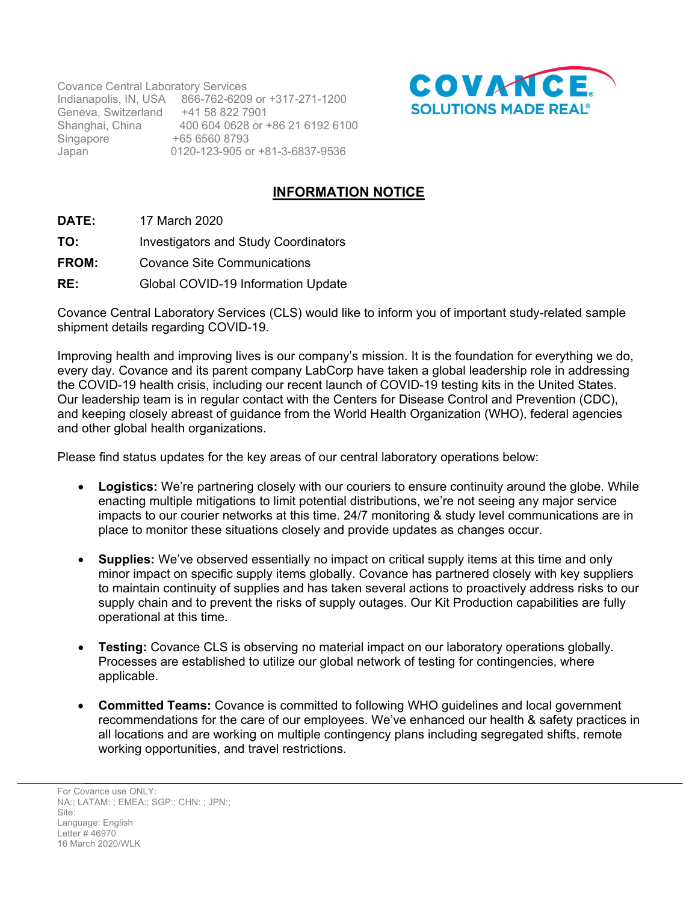Covance Central Laboratory Services Indianapolis, IN, USA 866-762-6209 or +317-271-1200 Geneva, Switzerland +41 58 822 7901 Shanghai, China 400 604 0628 or +86 21 6192 6100 Singapore +65 6560 8793<br>Japan 0120-123-905 o 0120-123-905 or +81-3-6837-9536



## **INFORMATION NOTICE**

- **DATE:** 17 March 2020
- **TO:** Investigators and Study Coordinators
- **FROM:** Covance Site Communications
- **RE:** Global COVID-19 Information Update

Covance Central Laboratory Services (CLS) would like to inform you of important study-related sample shipment details regarding COVID-19.

Improving health and improving lives is our company's mission. It is the foundation for everything we do, every day. Covance and its parent company LabCorp have taken a global leadership role in addressing the COVID-19 health crisis, including our recent launch of COVID-19 testing kits in the United States. Our leadership team is in regular contact with the Centers for Disease Control and Prevention (CDC), and keeping closely abreast of guidance from the World Health Organization (WHO), federal agencies and other global health organizations.

Please find status updates for the key areas of our central laboratory operations below:

- **Logistics:** We're partnering closely with our couriers to ensure continuity around the globe. While enacting multiple mitigations to limit potential distributions, we're not seeing any major service impacts to our courier networks at this time. 24/7 monitoring & study level communications are in place to monitor these situations closely and provide updates as changes occur.
- **Supplies:** We've observed essentially no impact on critical supply items at this time and only minor impact on specific supply items globally. Covance has partnered closely with key suppliers to maintain continuity of supplies and has taken several actions to proactively address risks to our supply chain and to prevent the risks of supply outages. Our Kit Production capabilities are fully operational at this time.
- **Testing:** Covance CLS is observing no material impact on our laboratory operations globally. Processes are established to utilize our global network of testing for contingencies, where applicable.
- **Committed Teams:** Covance is committed to following WHO guidelines and local government recommendations for the care of our employees. We've enhanced our health & safety practices in all locations and are working on multiple contingency plans including segregated shifts, remote working opportunities, and travel restrictions.